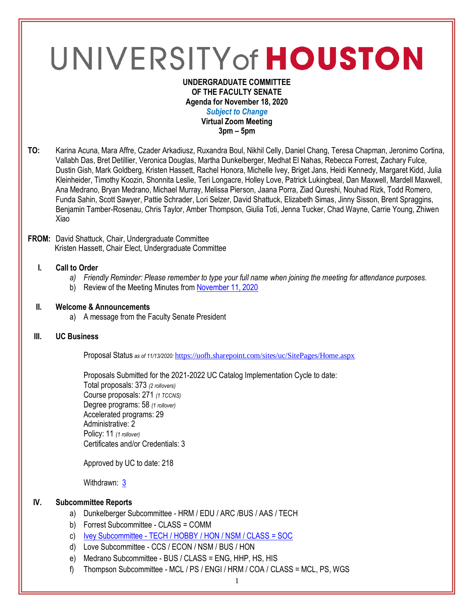# UNIVERSITY of HOUSTON

#### **UNDERGRADUATE COMMITTEE OF THE FACULTY SENATE Agenda for November 18, 2020** *Subject to Change* **Virtual Zoom Meeting 3pm – 5pm**

**TO:** Karina Acuna, Mara Affre, Czader Arkadiusz, Ruxandra Boul, Nikhil Celly, Daniel Chang, Teresa Chapman, Jeronimo Cortina, Vallabh Das, Bret Detillier, Veronica Douglas, Martha Dunkelberger, Medhat El Nahas, Rebecca Forrest, Zachary Fulce, Dustin Gish, Mark Goldberg, Kristen Hassett, Rachel Honora, Michelle Ivey, Briget Jans, Heidi Kennedy, Margaret Kidd, Julia Kleinheider, Timothy Koozin, Shonnita Leslie, Teri Longacre, Holley Love, Patrick Lukingbeal, Dan Maxwell, Mardell Maxwell, Ana Medrano, Bryan Medrano, Michael Murray, Melissa Pierson, Jaana Porra, Ziad Qureshi, Nouhad Rizk, Todd Romero, Funda Sahin, Scott Sawyer, Pattie Schrader, Lori Selzer, David Shattuck, Elizabeth Simas, Jinny Sisson, Brent Spraggins, Benjamin Tamber-Rosenau, Chris Taylor, Amber Thompson, Giulia Toti, Jenna Tucker, Chad Wayne, Carrie Young, Zhiwen Xiao

#### **FROM:** David Shattuck, Chair, Undergraduate Committee Kristen Hassett, Chair Elect, Undergraduate Committee

## **I. Call to Order**

- *a) Friendly Reminder: Please remember to type your full name when joining the meeting for attendance purposes.*
- b) Review of the Meeting Minutes from [November](https://uh.edu/undergraduate-committee/meetings/agendas-minutes/ay-2021/m_2020_1111.pdf) 11, 2020

#### **II. Welcome & Announcements**

a) A message from the Faculty Senate President

## **III. UC Business**

Proposal Status *as of 11/13/2020:* <https://uofh.sharepoint.com/sites/uc/SitePages/Home.aspx>

Proposals Submitted for the 2021-2022 UC Catalog Implementation Cycle to date: Total proposals: 373 *(2 rollovers)* Course proposals: 271 *(1 TCCNS)* Degree programs: 58 *(1 rollover)* Accelerated programs: 29 Administrative: 2 Policy: 11 *(1 rollover)* Certificates and/or Credentials: 3

Approved by UC to date: 218

Withdrawn: [3](https://uofh.sharepoint.com/sites/uc/Lists/ProposalSubmissionAndTracking/Submitted%20Proposals%20%20Current%20Year%20%20Grouped.aspx?FilterField1=Proposal%5Fx0020%5FStatus&FilterValue1=Withdrawn%20%2D%20See%20Proposal%20Notes&FilterType1=Choice&viewid=3e8f7d7c%2Dd8a4%2D43cd%2D8f0e%2D60cc2ac81fe6)

## **IV. Subcommittee Reports**

- a) Dunkelberger Subcommittee HRM / EDU / ARC /BUS / AAS / TECH
- b) Forrest Subcommittee CLASS = COMM
- c) Ivey Subcommittee [TECH / HOBBY / HON / NSM / CLASS = SOC](https://uofh.sharepoint.com/sites/uc/Lists/ProposalSubmissionAndTracking/Submitted%20Proposals%20%20Current%20Year%20%20Grouped.aspx?FilterField1=Proposal%5Fx0020%5FStatus&FilterValue1=Pending%20Subcommittee%20Edits%20%2D%20Post%20UC%20Meeting&FilterType1=Choice&viewid=3e8f7d7c%2Dd8a4%2D43cd%2D8f0e%2D60cc2ac81fe6&CT=1605291175230&OR=OWA-NT&CID=8b9c3aea-903e-a1de-9a9e-f76b613446e0)
- d) Love Subcommittee CCS / ECON / NSM / BUS / HON
- e) Medrano Subcommittee BUS / CLASS = ENG, HHP, HS, HIS
- f) Thompson Subcommittee MCL / PS / ENGI / HRM / COA / CLASS = MCL, PS, WGS